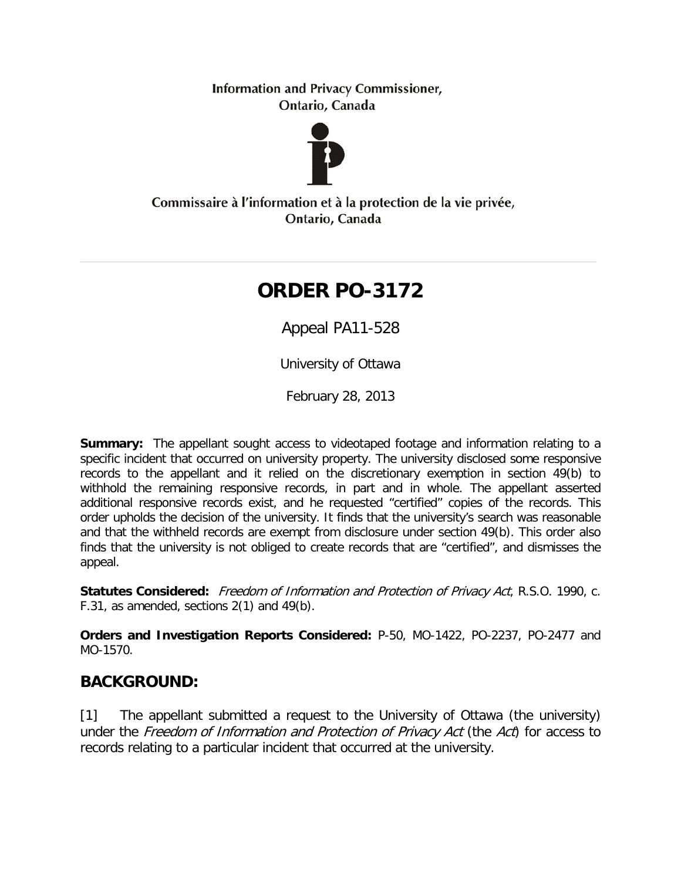**Information and Privacy Commissioner,** Ontario, Canada



Commissaire à l'information et à la protection de la vie privée, Ontario, Canada

# **ORDER PO-3172**

Appeal PA11-528

University of Ottawa

February 28, 2013

**Summary:** The appellant sought access to videotaped footage and information relating to a specific incident that occurred on university property. The university disclosed some responsive records to the appellant and it relied on the discretionary exemption in section 49(b) to withhold the remaining responsive records, in part and in whole. The appellant asserted additional responsive records exist, and he requested "certified" copies of the records. This order upholds the decision of the university. It finds that the university's search was reasonable and that the withheld records are exempt from disclosure under section 49(b). This order also finds that the university is not obliged to create records that are "certified", and dismisses the appeal.

**Statutes Considered:** Freedom of Information and Protection of Privacy Act, R.S.O. 1990, c. F.31, as amended, sections 2(1) and 49(b).

**Orders and Investigation Reports Considered:** P-50, MO-1422, PO-2237, PO-2477 and MO-1570.

# **BACKGROUND:**

[1] The appellant submitted a request to the University of Ottawa (the university) under the Freedom of Information and Protection of Privacy Act (the Act) for access to records relating to a particular incident that occurred at the university.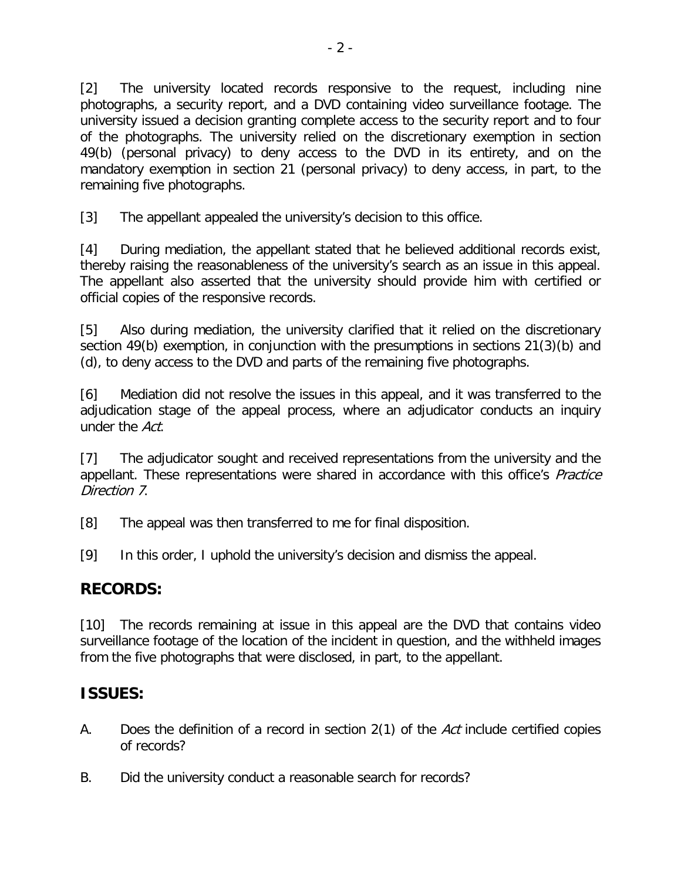[2] The university located records responsive to the request, including nine photographs, a security report, and a DVD containing video surveillance footage. The university issued a decision granting complete access to the security report and to four of the photographs. The university relied on the discretionary exemption in section 49(b) (personal privacy) to deny access to the DVD in its entirety, and on the mandatory exemption in section 21 (personal privacy) to deny access, in part, to the remaining five photographs.

[3] The appellant appealed the university's decision to this office.

[4] During mediation, the appellant stated that he believed additional records exist, thereby raising the reasonableness of the university's search as an issue in this appeal. The appellant also asserted that the university should provide him with certified or official copies of the responsive records.

[5] Also during mediation, the university clarified that it relied on the discretionary section 49(b) exemption, in conjunction with the presumptions in sections 21(3)(b) and (d), to deny access to the DVD and parts of the remaining five photographs.

[6] Mediation did not resolve the issues in this appeal, and it was transferred to the adjudication stage of the appeal process, where an adjudicator conducts an inquiry under the Act.

[7] The adjudicator sought and received representations from the university and the appellant. These representations were shared in accordance with this office's *Practice* Direction 7.

- [8] The appeal was then transferred to me for final disposition.
- [9] In this order, I uphold the university's decision and dismiss the appeal.

# **RECORDS:**

[10] The records remaining at issue in this appeal are the DVD that contains video surveillance footage of the location of the incident in question, and the withheld images from the five photographs that were disclosed, in part, to the appellant.

# **ISSUES:**

- A. Does the definition of a record in section 2(1) of the Act include certified copies of records?
- B. Did the university conduct a reasonable search for records?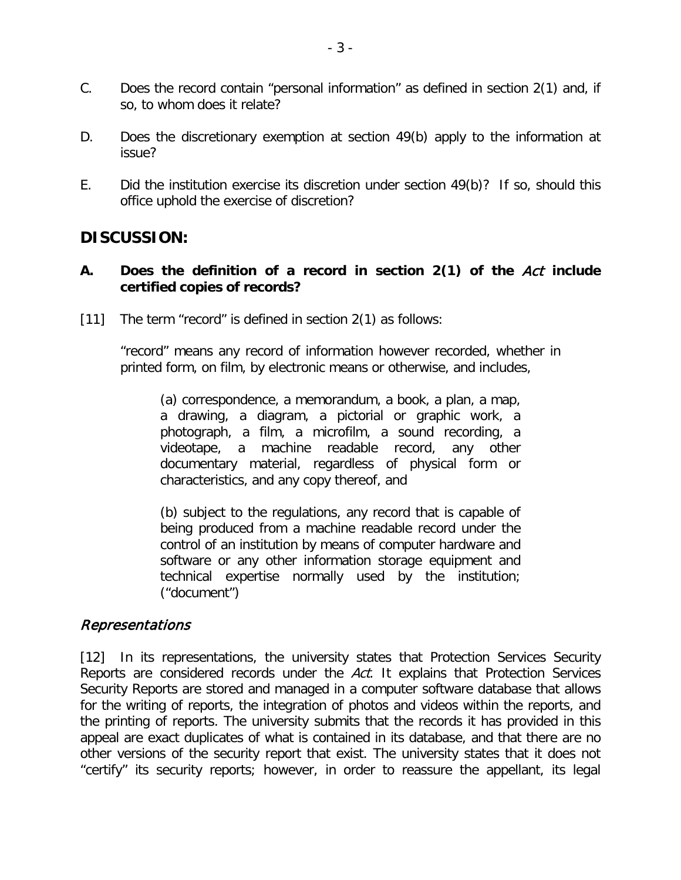- C. Does the record contain "personal information" as defined in section 2(1) and, if so, to whom does it relate?
- D. Does the discretionary exemption at section 49(b) apply to the information at issue?
- E. Did the institution exercise its discretion under section 49(b)? If so, should this office uphold the exercise of discretion?

# **DISCUSSION:**

#### **A. Does the definition of a record in section 2(1) of the** Act **include certified copies of records?**

[11] The term "record" is defined in section 2(1) as follows:

"record" means any record of information however recorded, whether in printed form, on film, by electronic means or otherwise, and includes,

(a) correspondence, a memorandum, a book, a plan, a map, a drawing, a diagram, a pictorial or graphic work, a photograph, a film, a microfilm, a sound recording, a videotape, a machine readable record, any other documentary material, regardless of physical form or characteristics, and any copy thereof, and

(b) subject to the regulations, any record that is capable of being produced from a machine readable record under the control of an institution by means of computer hardware and software or any other information storage equipment and technical expertise normally used by the institution; ("document")

#### Representations

[12] In its representations, the university states that Protection Services Security Reports are considered records under the Act. It explains that Protection Services Security Reports are stored and managed in a computer software database that allows for the writing of reports, the integration of photos and videos within the reports, and the printing of reports. The university submits that the records it has provided in this appeal are exact duplicates of what is contained in its database, and that there are no other versions of the security report that exist. The university states that it does not "certify" its security reports; however, in order to reassure the appellant, its legal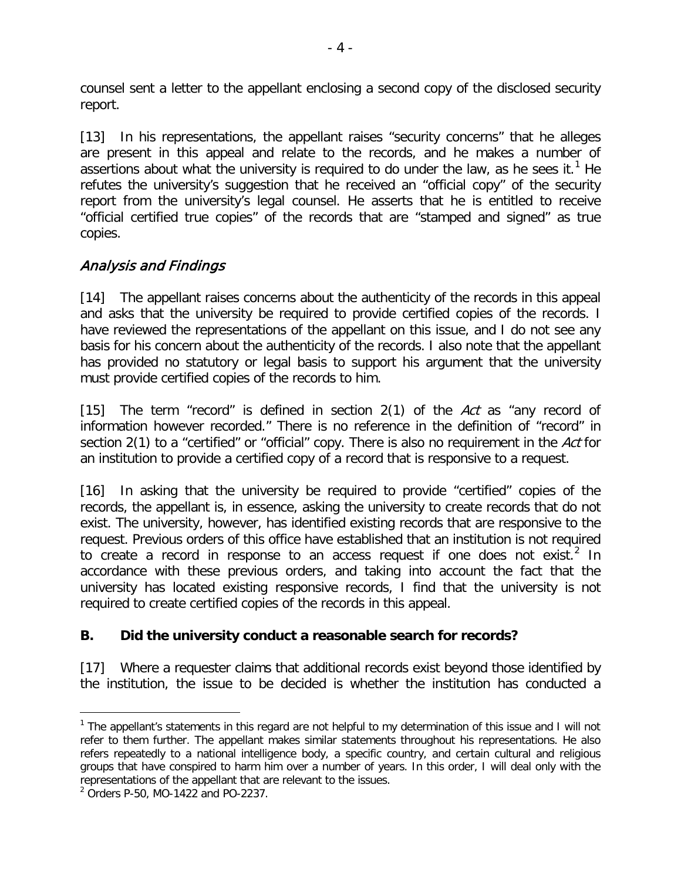counsel sent a letter to the appellant enclosing a second copy of the disclosed security report.

[13] In his representations, the appellant raises "security concerns" that he alleges are present in this appeal and relate to the records, and he makes a number of assertions about what the university is required to do under the law, as he sees it.<sup>[1](#page-3-0)</sup> He refutes the university's suggestion that he received an "official copy" of the security report from the university's legal counsel. He asserts that he is entitled to receive "official certified true copies" of the records that are "stamped and signed" as true copies.

### Analysis and Findings

[14] The appellant raises concerns about the authenticity of the records in this appeal and asks that the university be required to provide certified copies of the records. I have reviewed the representations of the appellant on this issue, and I do not see any basis for his concern about the authenticity of the records. I also note that the appellant has provided no statutory or legal basis to support his argument that the university must provide certified copies of the records to him.

[15] The term "record" is defined in section  $2(1)$  of the Act as "any record of information however recorded." There is no reference in the definition of "record" in section 2(1) to a "certified" or "official" copy. There is also no requirement in the Act for an institution to provide a certified copy of a record that is responsive to a request.

[16] In asking that the university be required to provide "certified" copies of the records, the appellant is, in essence, asking the university to create records that do not exist. The university, however, has identified existing records that are responsive to the request. Previous orders of this office have established that an institution is not required to create a record in response to an access request if one does not exist.<sup>[2](#page-3-1)</sup> In accordance with these previous orders, and taking into account the fact that the university has located existing responsive records, I find that the university is not required to create certified copies of the records in this appeal.

### **B. Did the university conduct a reasonable search for records?**

[17] Where a requester claims that additional records exist beyond those identified by the institution, the issue to be decided is whether the institution has conducted a

<span id="page-3-0"></span><sup>&</sup>lt;sup>1</sup> The appellant's statements in this regard are not helpful to my determination of this issue and I will not refer to them further. The appellant makes similar statements throughout his representations. He also refers repeatedly to a national intelligence body, a specific country, and certain cultural and religious groups that have conspired to harm him over a number of years. In this order, I will deal only with the representations of the appellant that are relevant to the issues.

<span id="page-3-1"></span><sup>2</sup> Orders P-50, MO-1422 and PO-2237.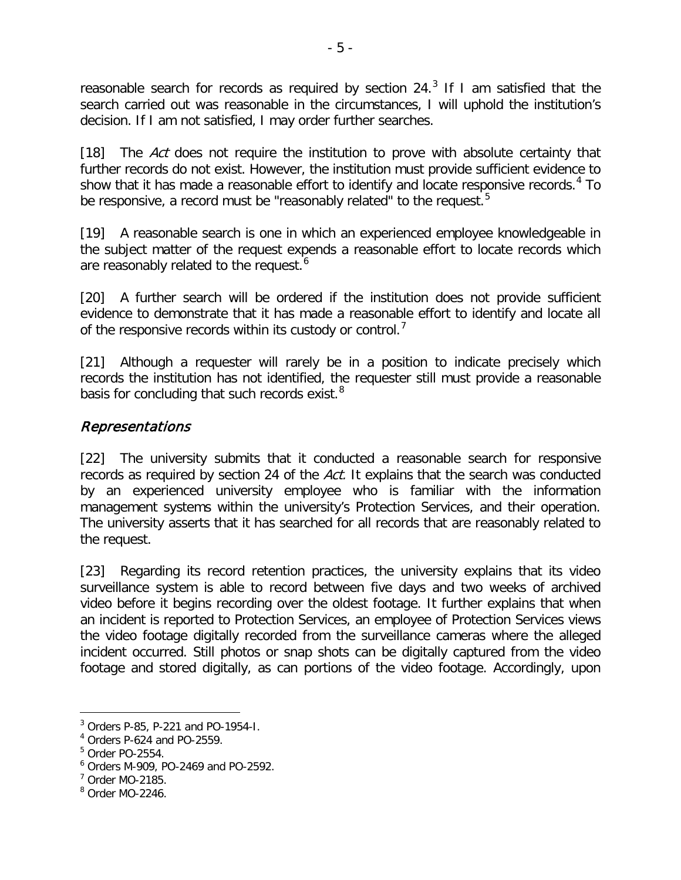reasonable search for records as required by section  $24<sup>3</sup>$  $24<sup>3</sup>$  $24<sup>3</sup>$  If I am satisfied that the search carried out was reasonable in the circumstances, I will uphold the institution's decision. If I am not satisfied, I may order further searches.

[18] The Act does not require the institution to prove with absolute certainty that further records do not exist. However, the institution must provide sufficient evidence to show that it has made a reasonable effort to identify and locate responsive records.<sup>[4](#page-4-1)</sup> To be responsive, a record must be "reasonably related" to the request.<sup>[5](#page-4-2)</sup>

[19] A reasonable search is one in which an experienced employee knowledgeable in the subject matter of the request expends a reasonable effort to locate records which are reasonably related to the request.<sup>[6](#page-4-3)</sup>

[20] A further search will be ordered if the institution does not provide sufficient evidence to demonstrate that it has made a reasonable effort to identify and locate all of the responsive records within its custody or control.<sup>[7](#page-4-4)</sup>

[21] Although a requester will rarely be in a position to indicate precisely which records the institution has not identified, the requester still must provide a reasonable basis for concluding that such records exist.<sup>[8](#page-4-5)</sup>

### Representations

[22] The university submits that it conducted a reasonable search for responsive records as required by section 24 of the Act. It explains that the search was conducted by an experienced university employee who is familiar with the information management systems within the university's Protection Services, and their operation. The university asserts that it has searched for all records that are reasonably related to the request.

[23] Regarding its record retention practices, the university explains that its video surveillance system is able to record between five days and two weeks of archived video before it begins recording over the oldest footage. It further explains that when an incident is reported to Protection Services, an employee of Protection Services views the video footage digitally recorded from the surveillance cameras where the alleged incident occurred. Still photos or snap shots can be digitally captured from the video footage and stored digitally, as can portions of the video footage. Accordingly, upon

<span id="page-4-0"></span> $3$  Orders P-85, P-221 and PO-1954-I.

<span id="page-4-1"></span><sup>4</sup> Orders P-624 and PO-2559.

<span id="page-4-2"></span><sup>5</sup> Order PO-2554.

<span id="page-4-3"></span><sup>6</sup> Orders M-909, PO-2469 and PO-2592.

<span id="page-4-4"></span> $<sup>7</sup>$  Order MO-2185.</sup>

<span id="page-4-5"></span><sup>8</sup> Order MO-2246.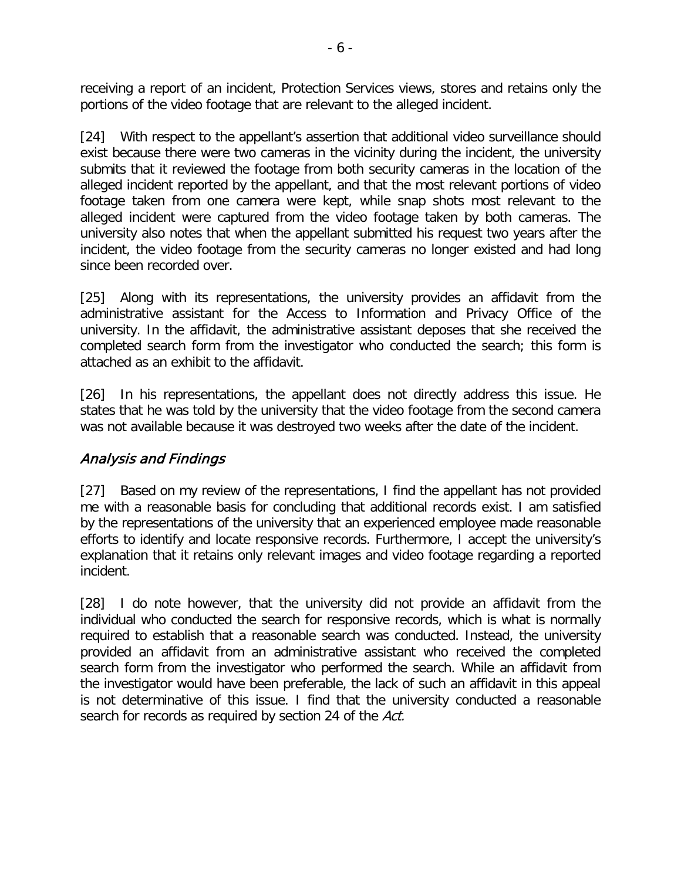receiving a report of an incident, Protection Services views, stores and retains only the portions of the video footage that are relevant to the alleged incident.

[24] With respect to the appellant's assertion that additional video surveillance should exist because there were two cameras in the vicinity during the incident, the university submits that it reviewed the footage from both security cameras in the location of the alleged incident reported by the appellant, and that the most relevant portions of video footage taken from one camera were kept, while snap shots most relevant to the alleged incident were captured from the video footage taken by both cameras. The university also notes that when the appellant submitted his request two years after the incident, the video footage from the security cameras no longer existed and had long since been recorded over.

[25] Along with its representations, the university provides an affidavit from the administrative assistant for the Access to Information and Privacy Office of the university. In the affidavit, the administrative assistant deposes that she received the completed search form from the investigator who conducted the search; this form is attached as an exhibit to the affidavit.

[26] In his representations, the appellant does not directly address this issue. He states that he was told by the university that the video footage from the second camera was not available because it was destroyed two weeks after the date of the incident.

### Analysis and Findings

[27] Based on my review of the representations, I find the appellant has not provided me with a reasonable basis for concluding that additional records exist. I am satisfied by the representations of the university that an experienced employee made reasonable efforts to identify and locate responsive records. Furthermore, I accept the university's explanation that it retains only relevant images and video footage regarding a reported incident.

[28] I do note however, that the university did not provide an affidavit from the individual who conducted the search for responsive records, which is what is normally required to establish that a reasonable search was conducted. Instead, the university provided an affidavit from an administrative assistant who received the completed search form from the investigator who performed the search. While an affidavit from the investigator would have been preferable, the lack of such an affidavit in this appeal is not determinative of this issue. I find that the university conducted a reasonable search for records as required by section 24 of the Act.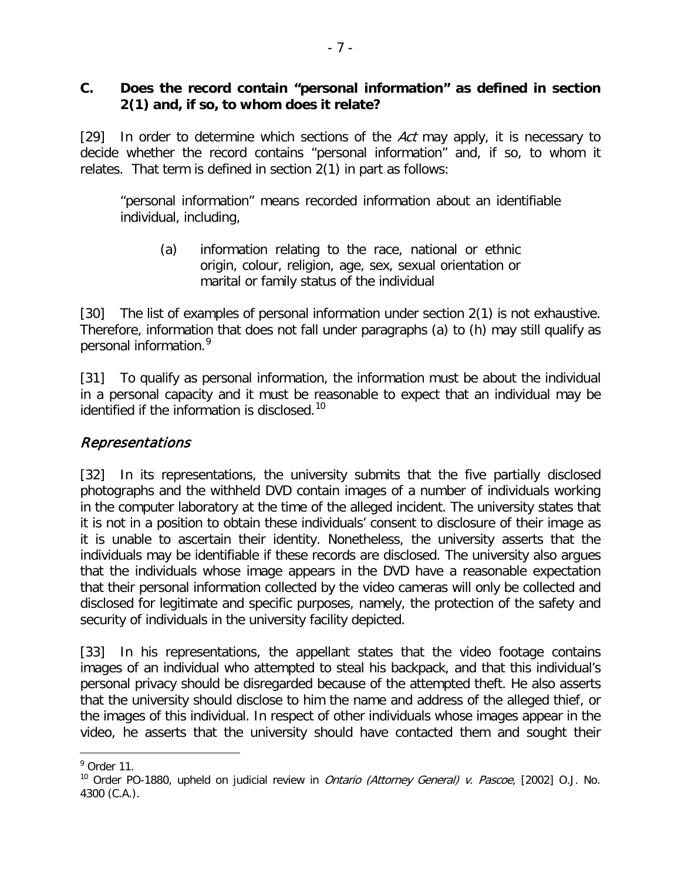#### **C. Does the record contain "personal information" as defined in section 2(1) and, if so, to whom does it relate?**

[29] In order to determine which sections of the Act may apply, it is necessary to decide whether the record contains "personal information" and, if so, to whom it relates. That term is defined in section 2(1) in part as follows:

"personal information" means recorded information about an identifiable individual, including,

(a) information relating to the race, national or ethnic origin, colour, religion, age, sex, sexual orientation or marital or family status of the individual

[30] The list of examples of personal information under section 2(1) is not exhaustive. Therefore, information that does not fall under paragraphs (a) to (h) may still qualify as personal information. [9](#page-6-0)

[31] To qualify as personal information, the information must be about the individual in a personal capacity and it must be reasonable to expect that an individual may be identified if the information is disclosed.<sup>[10](#page-6-1)</sup>

### Representations

[32] In its representations, the university submits that the five partially disclosed photographs and the withheld DVD contain images of a number of individuals working in the computer laboratory at the time of the alleged incident. The university states that it is not in a position to obtain these individuals' consent to disclosure of their image as it is unable to ascertain their identity. Nonetheless, the university asserts that the individuals may be identifiable if these records are disclosed. The university also argues that the individuals whose image appears in the DVD have a reasonable expectation that their personal information collected by the video cameras will only be collected and disclosed for legitimate and specific purposes, namely, the protection of the safety and security of individuals in the university facility depicted.

[33] In his representations, the appellant states that the video footage contains images of an individual who attempted to steal his backpack, and that this individual's personal privacy should be disregarded because of the attempted theft. He also asserts that the university should disclose to him the name and address of the alleged thief, or the images of this individual. In respect of other individuals whose images appear in the video, he asserts that the university should have contacted them and sought their

 $\overline{a}$  $9$  Order 11.

<span id="page-6-1"></span><span id="page-6-0"></span><sup>&</sup>lt;sup>10</sup> Order PO-1880, upheld on judicial review in *Ontario (Attorney General) v. Pascoe*, [2002] O.J. No. 4300 (C.A.).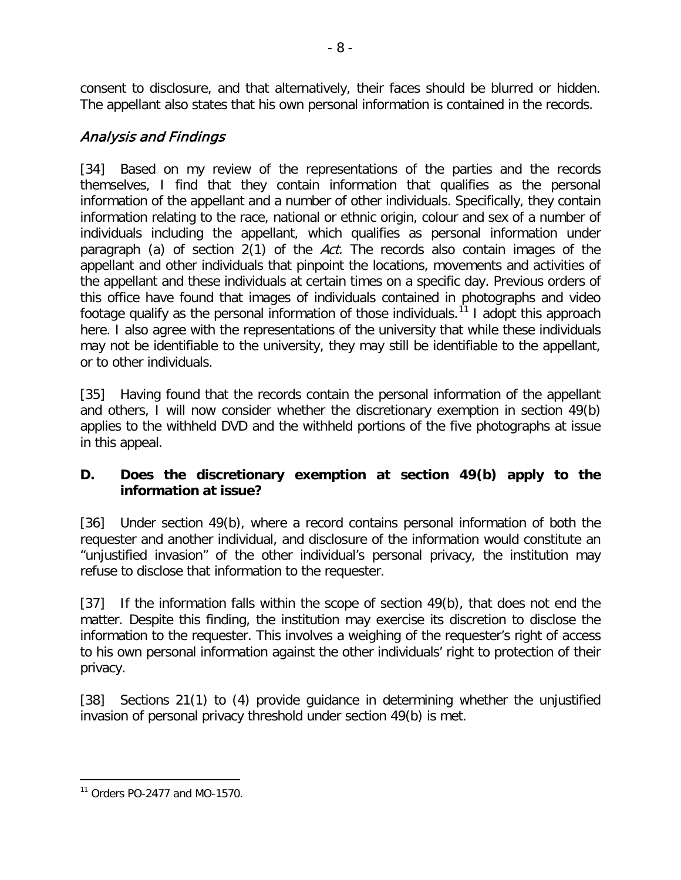consent to disclosure, and that alternatively, their faces should be blurred or hidden. The appellant also states that his own personal information is contained in the records.

### Analysis and Findings

[34] Based on my review of the representations of the parties and the records themselves, I find that they contain information that qualifies as the personal information of the appellant and a number of other individuals. Specifically, they contain information relating to the race, national or ethnic origin, colour and sex of a number of individuals including the appellant, which qualifies as personal information under paragraph (a) of section 2(1) of the Act. The records also contain images of the appellant and other individuals that pinpoint the locations, movements and activities of the appellant and these individuals at certain times on a specific day. Previous orders of this office have found that images of individuals contained in photographs and video footage qualify as the personal information of those individuals.<sup>[11](#page-7-0)</sup> I adopt this approach here. I also agree with the representations of the university that while these individuals may not be identifiable to the university, they may still be identifiable to the appellant, or to other individuals.

[35] Having found that the records contain the personal information of the appellant and others, I will now consider whether the discretionary exemption in section 49(b) applies to the withheld DVD and the withheld portions of the five photographs at issue in this appeal.

### **D. Does the discretionary exemption at section 49(b) apply to the information at issue?**

[36] Under section 49(b), where a record contains personal information of both the requester and another individual, and disclosure of the information would constitute an "unjustified invasion" of the other individual's personal privacy, the institution may refuse to disclose that information to the requester.

[37] If the information falls within the scope of section 49(b), that does not end the matter. Despite this finding, the institution may exercise its discretion to disclose the information to the requester. This involves a weighing of the requester's right of access to his own personal information against the other individuals' right to protection of their privacy.

[38] Sections 21(1) to (4) provide quidance in determining whether the unjustified invasion of personal privacy threshold under section 49(b) is met.

<span id="page-7-0"></span> $\overline{a}$  $11$  Orders PO-2477 and MO-1570.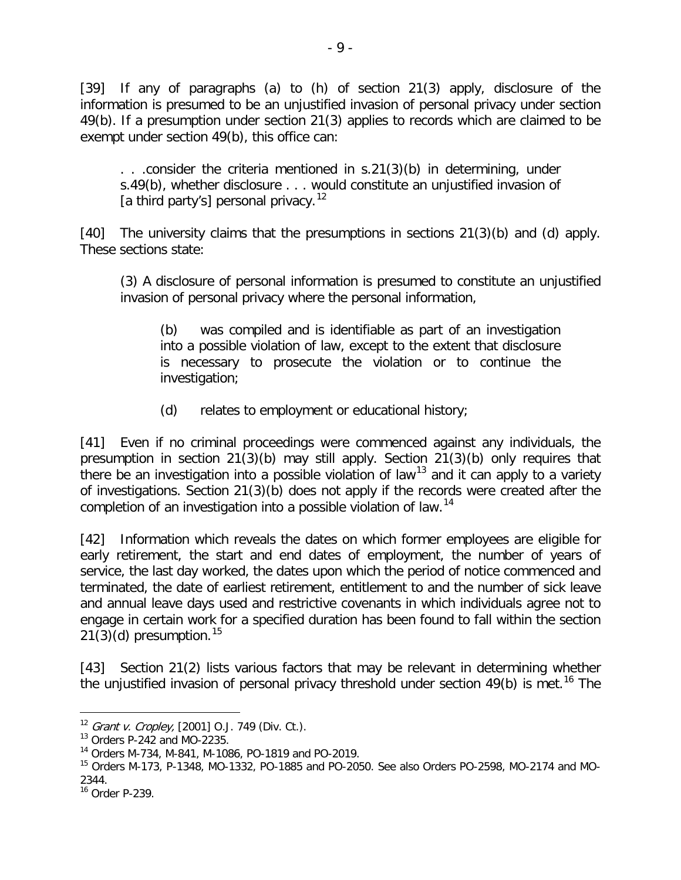[39] If any of paragraphs (a) to (h) of section 21(3) apply, disclosure of the information is presumed to be an unjustified invasion of personal privacy under section 49(b). If a presumption under section 21(3) applies to records which are claimed to be exempt under section 49(b), this office can:

. . .consider the criteria mentioned in s.21(3)(b) in determining, under s.49(b), whether disclosure . . . would constitute an unjustified invasion of [a third party's] personal privacy.<sup>[12](#page-8-0)</sup>

[40] The university claims that the presumptions in sections 21(3)(b) and (d) apply. These sections state:

(3) A disclosure of personal information is presumed to constitute an unjustified invasion of personal privacy where the personal information,

(b) was compiled and is identifiable as part of an investigation into a possible violation of law, except to the extent that disclosure is necessary to prosecute the violation or to continue the investigation;

(d) relates to employment or educational history;

[41] Even if no criminal proceedings were commenced against any individuals, the presumption in section 21(3)(b) may still apply. Section 21(3)(b) only requires that there be an investigation into a possible violation of law<sup>[13](#page-8-1)</sup> and it can apply to a variety of investigations. Section 21(3)(b) does not apply if the records were created after the completion of an investigation into a possible violation of law.<sup>[14](#page-8-2)</sup>

[42] Information which reveals the dates on which former employees are eligible for early retirement, the start and end dates of employment, the number of years of service, the last day worked, the dates upon which the period of notice commenced and terminated, the date of earliest retirement, entitlement to and the number of sick leave and annual leave days used and restrictive covenants in which individuals agree not to engage in certain work for a specified duration has been found to fall within the section  $21(3)(d)$  presumption.<sup>[15](#page-8-3)</sup>

[43] Section 21(2) lists various factors that may be relevant in determining whether the unjustified invasion of personal privacy threshold under section  $49(b)$  is met.<sup>[16](#page-8-4)</sup> The

<span id="page-8-0"></span> $12$  Grant v. Cropley, [2001] O.J. 749 (Div. Ct.).

<span id="page-8-1"></span><sup>13</sup> Orders P-242 and MO-2235.

<span id="page-8-2"></span><sup>14</sup> Orders M-734, M-841, M-1086, PO-1819 and PO-2019.

<span id="page-8-3"></span><sup>15</sup> Orders M-173, P-1348, MO-1332, PO-1885 and PO-2050. See also Orders PO-2598, MO-2174 and MO-2344.

<span id="page-8-4"></span><sup>16</sup> Order P-239.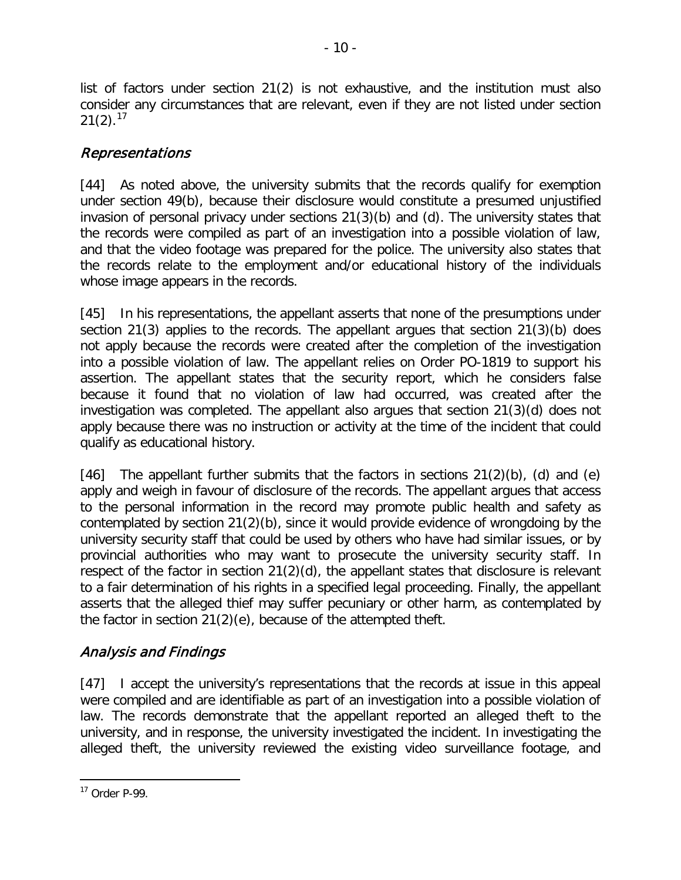list of factors under section 21(2) is not exhaustive, and the institution must also consider any circumstances that are relevant, even if they are not listed under section  $21(2).^{17}$  $21(2).^{17}$  $21(2).^{17}$ 

# Representations

[44] As noted above, the university submits that the records qualify for exemption under section 49(b), because their disclosure would constitute a presumed unjustified invasion of personal privacy under sections 21(3)(b) and (d). The university states that the records were compiled as part of an investigation into a possible violation of law, and that the video footage was prepared for the police. The university also states that the records relate to the employment and/or educational history of the individuals whose image appears in the records.

[45] In his representations, the appellant asserts that none of the presumptions under section 21(3) applies to the records. The appellant argues that section 21(3)(b) does not apply because the records were created after the completion of the investigation into a possible violation of law. The appellant relies on Order PO-1819 to support his assertion. The appellant states that the security report, which he considers false because it found that no violation of law had occurred, was created after the investigation was completed. The appellant also argues that section 21(3)(d) does not apply because there was no instruction or activity at the time of the incident that could qualify as educational history.

[46] The appellant further submits that the factors in sections  $21(2)(b)$ , (d) and (e) apply and weigh in favour of disclosure of the records. The appellant argues that access to the personal information in the record may promote public health and safety as contemplated by section 21(2)(b), since it would provide evidence of wrongdoing by the university security staff that could be used by others who have had similar issues, or by provincial authorities who may want to prosecute the university security staff. In respect of the factor in section 21(2)(d), the appellant states that disclosure is relevant to a fair determination of his rights in a specified legal proceeding. Finally, the appellant asserts that the alleged thief may suffer pecuniary or other harm, as contemplated by the factor in section 21(2)(e), because of the attempted theft.

# Analysis and Findings

[47] I accept the university's representations that the records at issue in this appeal were compiled and are identifiable as part of an investigation into a possible violation of law. The records demonstrate that the appellant reported an alleged theft to the university, and in response, the university investigated the incident. In investigating the alleged theft, the university reviewed the existing video surveillance footage, and

<span id="page-9-0"></span><sup>17</sup> Order P-99.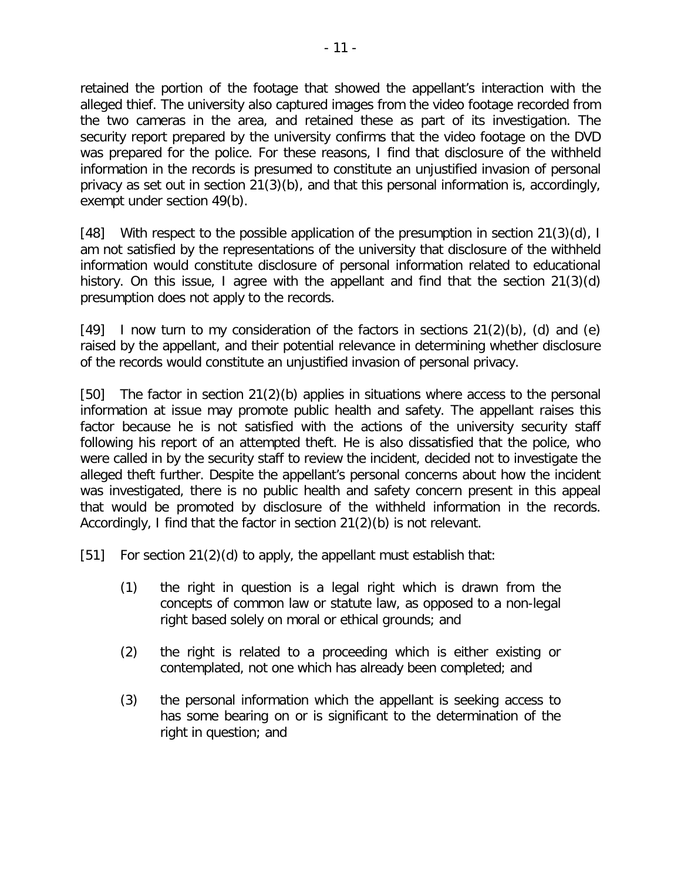retained the portion of the footage that showed the appellant's interaction with the alleged thief. The university also captured images from the video footage recorded from the two cameras in the area, and retained these as part of its investigation. The security report prepared by the university confirms that the video footage on the DVD was prepared for the police. For these reasons, I find that disclosure of the withheld information in the records is presumed to constitute an unjustified invasion of personal privacy as set out in section 21(3)(b), and that this personal information is, accordingly, exempt under section 49(b).

[48] With respect to the possible application of the presumption in section 21(3)(d), I am not satisfied by the representations of the university that disclosure of the withheld information would constitute disclosure of personal information related to educational history. On this issue, I agree with the appellant and find that the section 21(3)(d) presumption does not apply to the records.

[49] I now turn to my consideration of the factors in sections  $21(2)(b)$ , (d) and (e) raised by the appellant, and their potential relevance in determining whether disclosure of the records would constitute an unjustified invasion of personal privacy.

[50] The factor in section 21(2)(b) applies in situations where access to the personal information at issue may promote public health and safety. The appellant raises this factor because he is not satisfied with the actions of the university security staff following his report of an attempted theft. He is also dissatisfied that the police, who were called in by the security staff to review the incident, decided not to investigate the alleged theft further. Despite the appellant's personal concerns about how the incident was investigated, there is no public health and safety concern present in this appeal that would be promoted by disclosure of the withheld information in the records. Accordingly, I find that the factor in section 21(2)(b) is not relevant.

[51] For section  $21(2)(d)$  to apply, the appellant must establish that:

- (1) the right in question is a legal right which is drawn from the concepts of common law or statute law, as opposed to a non-legal right based solely on moral or ethical grounds; and
- (2) the right is related to a proceeding which is either existing or contemplated, not one which has already been completed; and
- (3) the personal information which the appellant is seeking access to has some bearing on or is significant to the determination of the right in question; and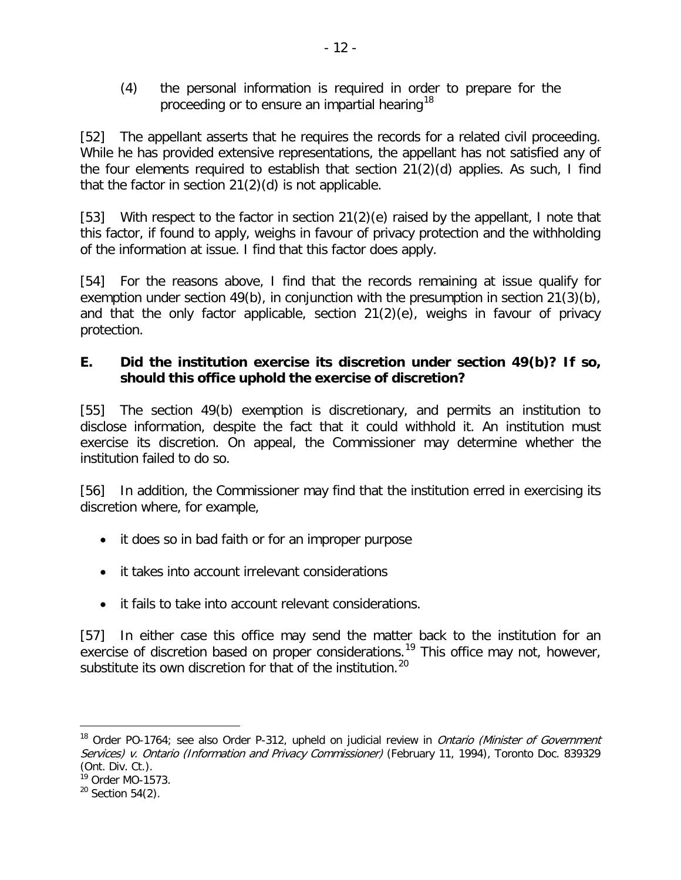(4) the personal information is required in order to prepare for the proceeding or to ensure an impartial hearing<sup>[18](#page-11-0)</sup>

[52] The appellant asserts that he requires the records for a related civil proceeding. While he has provided extensive representations, the appellant has not satisfied any of the four elements required to establish that section 21(2)(d) applies. As such, I find that the factor in section  $21(2)(d)$  is not applicable.

[53] With respect to the factor in section 21(2)(e) raised by the appellant, I note that this factor, if found to apply, weighs in favour of privacy protection and the withholding of the information at issue. I find that this factor does apply.

[54] For the reasons above, I find that the records remaining at issue qualify for exemption under section 49(b), in conjunction with the presumption in section 21(3)(b), and that the only factor applicable, section 21(2)(e), weighs in favour of privacy protection.

### **E. Did the institution exercise its discretion under section 49(b)? If so, should this office uphold the exercise of discretion?**

[55] The section 49(b) exemption is discretionary, and permits an institution to disclose information, despite the fact that it could withhold it. An institution must exercise its discretion. On appeal, the Commissioner may determine whether the institution failed to do so.

[56] In addition, the Commissioner may find that the institution erred in exercising its discretion where, for example,

- it does so in bad faith or for an improper purpose
- it takes into account irrelevant considerations
- it fails to take into account relevant considerations.

[57] In either case this office may send the matter back to the institution for an exercise of discretion based on proper considerations.<sup>[19](#page-11-1)</sup> This office may not, however, substitute its own discretion for that of the institution.<sup>[20](#page-11-2)</sup>

<span id="page-11-0"></span><sup>&</sup>lt;sup>18</sup> Order PO-1764; see also Order P-312, upheld on judicial review in *Ontario (Minister of Government* Services) v. Ontario (Information and Privacy Commissioner) (February 11, 1994), Toronto Doc. 839329 (Ont. Div. Ct.).

<span id="page-11-1"></span> $19$  Order MO-1573.

<span id="page-11-2"></span> $20$  Section 54(2).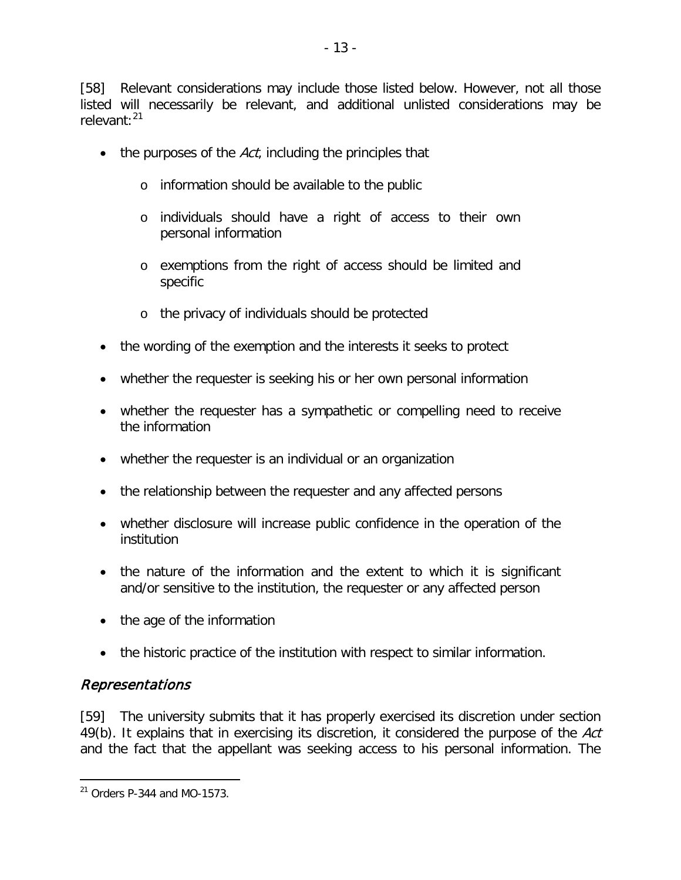[58] Relevant considerations may include those listed below. However, not all those listed will necessarily be relevant, and additional unlisted considerations may be relevant:<sup>[21](#page-12-0)</sup>

- $\bullet$  the purposes of the Act, including the principles that
	- o information should be available to the public
	- o individuals should have a right of access to their own personal information
	- o exemptions from the right of access should be limited and specific
	- o the privacy of individuals should be protected
- the wording of the exemption and the interests it seeks to protect
- whether the requester is seeking his or her own personal information
- whether the requester has a sympathetic or compelling need to receive the information
- whether the requester is an individual or an organization
- the relationship between the requester and any affected persons
- whether disclosure will increase public confidence in the operation of the institution
- the nature of the information and the extent to which it is significant and/or sensitive to the institution, the requester or any affected person
- the age of the information
- the historic practice of the institution with respect to similar information.

### Representations

 $\overline{a}$ 

[59] The university submits that it has properly exercised its discretion under section 49(b). It explains that in exercising its discretion, it considered the purpose of the Act and the fact that the appellant was seeking access to his personal information. The

<span id="page-12-0"></span><sup>21</sup> Orders P-344 and MO-1573.